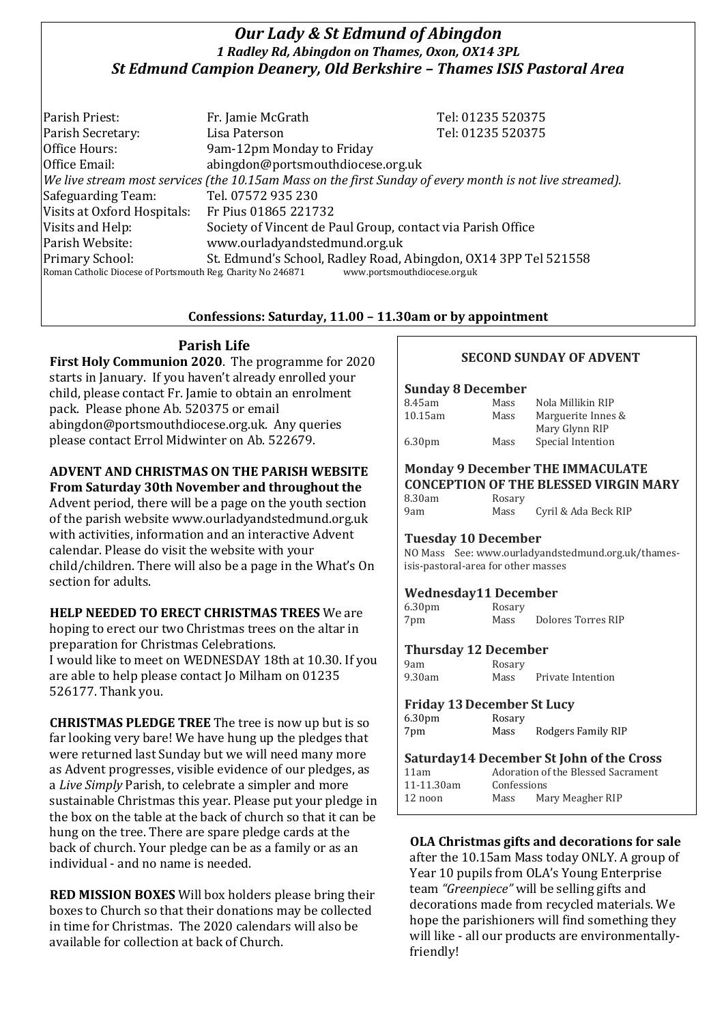# *Our Lady & St Edmund of Abingdon 1 Radley Rd, Abingdon on Thames, Oxon, OX14 3PL St Edmund Campion Deanery, Old Berkshire – Thames ISIS Pastoral Area*

Parish Priest: Fr. Jamie McGrath Tel: 01235 520375 Parish Secretary: Tel: 01235 520375 Office Hours: 9am-12pm Monday to Friday Office Email: abingdon@portsmouthdiocese.org.uk *We live stream most services (the 10.15am Mass on the first Sunday of every month is not live streamed).* Safeguarding Team: Tel. 07572 935 230 Visits at Oxford Hospitals: Fr Pius 01865 221732 Visits and Help: Society of Vincent de Paul Group, contact via Parish Office Parish Website: www.ourladyandstedmund.org.uk Primary School: St. Edmund's School, Radley Road, Abingdon, OX14 3PP Tel 521558<br>Roman Catholic Diocese of Portsmouth Reg. Charity No 246871 www.portsmouthdiocese.org.uk Roman Catholic Diocese of Portsmouth Reg. Charity No 246871

## **Confessions: Saturday, 11.00 – 11.30am or by appointment**

## **Parish Life**

**First Holy Communion 2020**. The programme for 2020 starts in January. If you haven't already enrolled your child, please contact Fr. Jamie to obtain an enrolment pack. Please phone Ab. 520375 or email abingdon@portsmouthdiocese.org.uk. Any queries please contact Errol Midwinter on Ab. 522679.

# **ADVENT AND CHRISTMAS ON THE PARISH WEBSITE**

**From Saturday 30th November and throughout the**  Advent period, there will be a page on the youth section of the parish website www.ourladyandstedmund.org.uk with activities, information and an interactive Advent calendar. Please do visit the website with your child/children. There will also be a page in the What's On section for adults.

### **HELP NEEDED TO ERECT CHRISTMAS TREES** We are

hoping to erect our two Christmas trees on the altar in preparation for Christmas Celebrations. I would like to meet on WEDNESDAY 18th at 10.30. If you are able to help please contact Jo Milham on 01235 526177. Thank you.

**CHRISTMAS PLEDGE TREE** The tree is now up but is so far looking very bare! We have hung up the pledges that were returned last Sunday but we will need many more as Advent progresses, visible evidence of our pledges, as a *Live Simply* Parish, to celebrate a simpler and more sustainable Christmas this year. Please put your pledge in the box on the table at the back of church so that it can be hung on the tree. There are spare pledge cards at the back of church. Your pledge can be as a family or as an individual - and no name is needed.

**RED MISSION BOXES** Will box holders please bring their boxes to Church so that their donations may be collected in time for Christmas. The 2020 calendars will also be available for collection at back of Church.

### **SECOND SUNDAY OF ADVENT**

#### **Sunday 8 December**

| 8.45am             | Mass | Nola Millikin RIP  |
|--------------------|------|--------------------|
| 10.15am            | Mass | Marguerite Innes & |
|                    |      | Mary Glynn RIP     |
| 6.30 <sub>pm</sub> | Mass | Special Intention  |

#### **Monday 9 December THE IMMACULATE CONCEPTION OF THE BLESSED VIRGIN MARY**

| 8.30am | Rosary |                      |
|--------|--------|----------------------|
| 9am    | Mass   | Cyril & Ada Beck RIP |

#### **Tuesday 10 December**

NO Mass See: www.ourladyandstedmund.org.uk/thamesisis-pastoral-area for other masses

### **Wednesday11 December**

| 6.30 <sub>pm</sub> | Rosary |                    |
|--------------------|--------|--------------------|
| 7pm                | Mass   | Dolores Torres RIP |

#### **Thursday 12 December**

| 9am    | Rosary |                   |
|--------|--------|-------------------|
| 9.30am | Mass   | Private Intention |

#### **Friday 13December St Lucy**

| 6.30 <sub>pm</sub> | Rosary |                    |
|--------------------|--------|--------------------|
| 7pm                | Mass   | Rodgers Family RIP |
|                    |        |                    |

| Saturday14 December St John of the Cross |             |                                    |
|------------------------------------------|-------------|------------------------------------|
| 11am                                     |             | Adoration of the Blessed Sacrament |
| 11-11.30am                               | Confessions |                                    |
| 12 noon                                  | Mass        | Mary Meagher RIP                   |

# **OLA Christmas gifts and decorations for sale**

after the 10.15am Mass today ONLY. A group of Year 10 pupils from OLA's Young Enterprise team *"Greenpiece"* will be selling gifts and decorations made from recycled materials. We hope the parishioners will find something they will like - all our products are environmentallyfriendly!